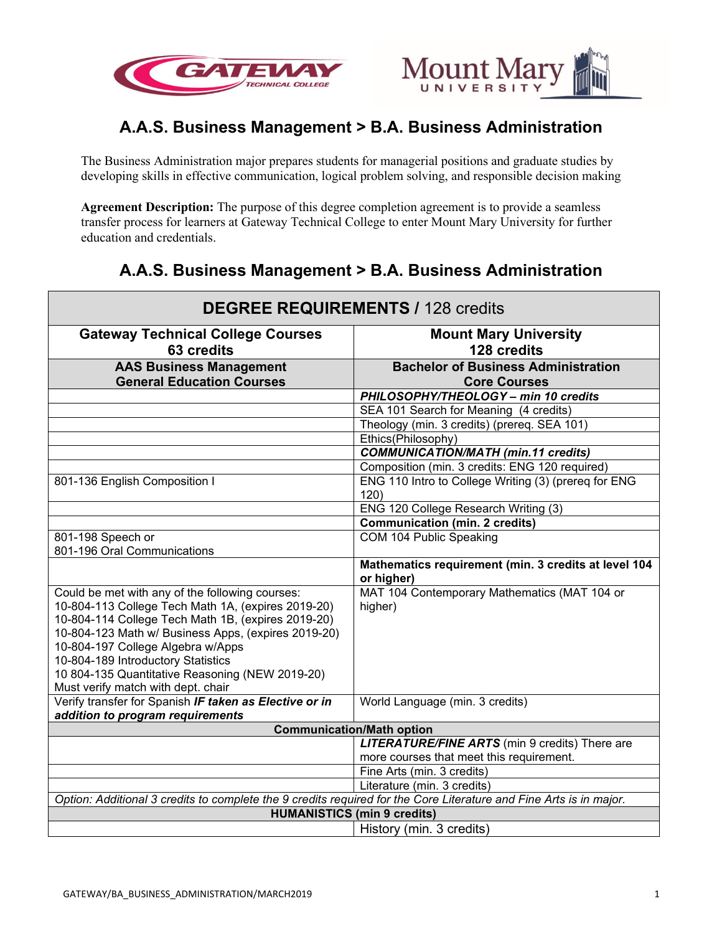



## **A.A.S. Business Management > B.A. Business Administration**

The Business Administration major prepares students for managerial positions and graduate studies by developing skills in effective communication, logical problem solving, and responsible decision making

**Agreement Description:** The purpose of this degree completion agreement is to provide a seamless transfer process for learners at Gateway Technical College to enter Mount Mary University for further education and credentials.

# **A.A.S. Business Management > B.A. Business Administration**

| <b>DEGREE REQUIREMENTS / 128 credits</b>                                                                                                                                                                                                                                                                                                                                               |                                                                    |
|----------------------------------------------------------------------------------------------------------------------------------------------------------------------------------------------------------------------------------------------------------------------------------------------------------------------------------------------------------------------------------------|--------------------------------------------------------------------|
| <b>Gateway Technical College Courses</b><br>63 credits                                                                                                                                                                                                                                                                                                                                 | <b>Mount Mary University</b><br>128 credits                        |
| <b>AAS Business Management</b>                                                                                                                                                                                                                                                                                                                                                         | <b>Bachelor of Business Administration</b>                         |
| <b>General Education Courses</b>                                                                                                                                                                                                                                                                                                                                                       | <b>Core Courses</b>                                                |
|                                                                                                                                                                                                                                                                                                                                                                                        | PHILOSOPHY/THEOLOGY - min 10 credits                               |
|                                                                                                                                                                                                                                                                                                                                                                                        | SEA 101 Search for Meaning (4 credits)                             |
|                                                                                                                                                                                                                                                                                                                                                                                        | Theology (min. 3 credits) (prereq. SEA 101)                        |
|                                                                                                                                                                                                                                                                                                                                                                                        | Ethics(Philosophy)                                                 |
|                                                                                                                                                                                                                                                                                                                                                                                        | <b>COMMUNICATION/MATH (min.11 credits)</b>                         |
|                                                                                                                                                                                                                                                                                                                                                                                        | Composition (min. 3 credits: ENG 120 required)                     |
| 801-136 English Composition I                                                                                                                                                                                                                                                                                                                                                          | ENG 110 Intro to College Writing (3) (prereg for ENG<br>120)       |
|                                                                                                                                                                                                                                                                                                                                                                                        | ENG 120 College Research Writing (3)                               |
|                                                                                                                                                                                                                                                                                                                                                                                        | Communication (min. 2 credits)                                     |
| 801-198 Speech or                                                                                                                                                                                                                                                                                                                                                                      | COM 104 Public Speaking                                            |
| 801-196 Oral Communications                                                                                                                                                                                                                                                                                                                                                            |                                                                    |
|                                                                                                                                                                                                                                                                                                                                                                                        | Mathematics requirement (min. 3 credits at level 104<br>or higher) |
| Could be met with any of the following courses:<br>10-804-113 College Tech Math 1A, (expires 2019-20)<br>10-804-114 College Tech Math 1B, (expires 2019-20)<br>10-804-123 Math w/ Business Apps, (expires 2019-20)<br>10-804-197 College Algebra w/Apps<br>10-804-189 Introductory Statistics<br>10 804-135 Quantitative Reasoning (NEW 2019-20)<br>Must verify match with dept. chair | MAT 104 Contemporary Mathematics (MAT 104 or<br>higher)            |
| Verify transfer for Spanish IF taken as Elective or in                                                                                                                                                                                                                                                                                                                                 | World Language (min. 3 credits)                                    |
| addition to program requirements                                                                                                                                                                                                                                                                                                                                                       |                                                                    |
| <b>Communication/Math option</b>                                                                                                                                                                                                                                                                                                                                                       |                                                                    |
|                                                                                                                                                                                                                                                                                                                                                                                        | <b>LITERATURE/FINE ARTS</b> (min 9 credits) There are              |
|                                                                                                                                                                                                                                                                                                                                                                                        | more courses that meet this requirement.                           |
|                                                                                                                                                                                                                                                                                                                                                                                        | Fine Arts (min. 3 credits)                                         |
|                                                                                                                                                                                                                                                                                                                                                                                        | Literature (min. 3 credits)                                        |
| Option: Additional 3 credits to complete the 9 credits required for the Core Literature and Fine Arts is in major.                                                                                                                                                                                                                                                                     |                                                                    |
| <b>HUMANISTICS (min 9 credits)</b>                                                                                                                                                                                                                                                                                                                                                     |                                                                    |
|                                                                                                                                                                                                                                                                                                                                                                                        | History (min. 3 credits)                                           |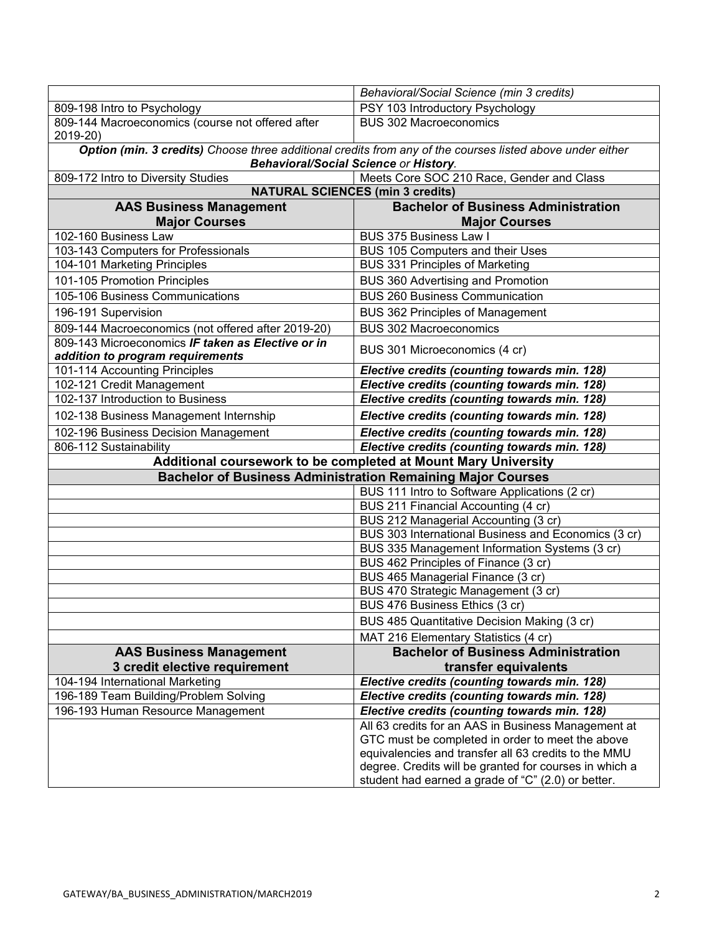|                                                                                                                                                           | Behavioral/Social Science (min 3 credits)                                |
|-----------------------------------------------------------------------------------------------------------------------------------------------------------|--------------------------------------------------------------------------|
| 809-198 Intro to Psychology                                                                                                                               | PSY 103 Introductory Psychology                                          |
| 809-144 Macroeconomics (course not offered after<br>2019-20)                                                                                              | <b>BUS 302 Macroeconomics</b>                                            |
| Option (min. 3 credits) Choose three additional credits from any of the courses listed above under either<br><b>Behavioral/Social Science or History.</b> |                                                                          |
| 809-172 Intro to Diversity Studies                                                                                                                        | Meets Core SOC 210 Race, Gender and Class                                |
| <b>NATURAL SCIENCES (min 3 credits)</b>                                                                                                                   |                                                                          |
| <b>AAS Business Management</b>                                                                                                                            | <b>Bachelor of Business Administration</b>                               |
| <b>Major Courses</b>                                                                                                                                      | <b>Major Courses</b>                                                     |
| 102-160 Business Law                                                                                                                                      | <b>BUS 375 Business Law I</b>                                            |
| 103-143 Computers for Professionals                                                                                                                       | BUS 105 Computers and their Uses                                         |
| 104-101 Marketing Principles                                                                                                                              | <b>BUS 331 Principles of Marketing</b>                                   |
| 101-105 Promotion Principles                                                                                                                              | <b>BUS 360 Advertising and Promotion</b>                                 |
| 105-106 Business Communications                                                                                                                           | <b>BUS 260 Business Communication</b>                                    |
| 196-191 Supervision                                                                                                                                       | <b>BUS 362 Principles of Management</b>                                  |
| 809-144 Macroeconomics (not offered after 2019-20)                                                                                                        | <b>BUS 302 Macroeconomics</b>                                            |
| 809-143 Microeconomics IF taken as Elective or in<br>addition to program requirements                                                                     | BUS 301 Microeconomics (4 cr)                                            |
| 101-114 Accounting Principles                                                                                                                             | Elective credits (counting towards min. 128)                             |
| 102-121 Credit Management                                                                                                                                 | Elective credits (counting towards min. 128)                             |
| 102-137 Introduction to Business                                                                                                                          | Elective credits (counting towards min. 128)                             |
| 102-138 Business Management Internship                                                                                                                    | Elective credits (counting towards min. 128)                             |
| 102-196 Business Decision Management                                                                                                                      | Elective credits (counting towards min. 128)                             |
| 806-112 Sustainability                                                                                                                                    | Elective credits (counting towards min. 128)                             |
| Additional coursework to be completed at Mount Mary University                                                                                            |                                                                          |
| <b>Bachelor of Business Administration Remaining Major Courses</b>                                                                                        |                                                                          |
|                                                                                                                                                           | BUS 111 Intro to Software Applications (2 cr)                            |
|                                                                                                                                                           | BUS 211 Financial Accounting (4 cr)                                      |
|                                                                                                                                                           | BUS 212 Managerial Accounting (3 cr)                                     |
|                                                                                                                                                           | BUS 303 International Business and Economics (3 cr)                      |
|                                                                                                                                                           | BUS 335 Management Information Systems (3 cr)                            |
|                                                                                                                                                           | BUS 462 Principles of Finance (3 cr)                                     |
|                                                                                                                                                           | BUS 465 Managerial Finance (3 cr)<br>BUS 470 Strategic Management (3 cr) |
|                                                                                                                                                           | BUS 476 Business Ethics (3 cr)                                           |
|                                                                                                                                                           | BUS 485 Quantitative Decision Making (3 cr)                              |
|                                                                                                                                                           | MAT 216 Elementary Statistics (4 cr)                                     |
| <b>AAS Business Management</b>                                                                                                                            | <b>Bachelor of Business Administration</b>                               |
| 3 credit elective requirement                                                                                                                             | transfer equivalents                                                     |
| 104-194 International Marketing                                                                                                                           | Elective credits (counting towards min. 128)                             |
| 196-189 Team Building/Problem Solving                                                                                                                     | Elective credits (counting towards min. 128)                             |
| 196-193 Human Resource Management                                                                                                                         | Elective credits (counting towards min. 128)                             |
|                                                                                                                                                           | All 63 credits for an AAS in Business Management at                      |
|                                                                                                                                                           | GTC must be completed in order to meet the above                         |
|                                                                                                                                                           | equivalencies and transfer all 63 credits to the MMU                     |
|                                                                                                                                                           | degree. Credits will be granted for courses in which a                   |
|                                                                                                                                                           | student had earned a grade of "C" (2.0) or better.                       |